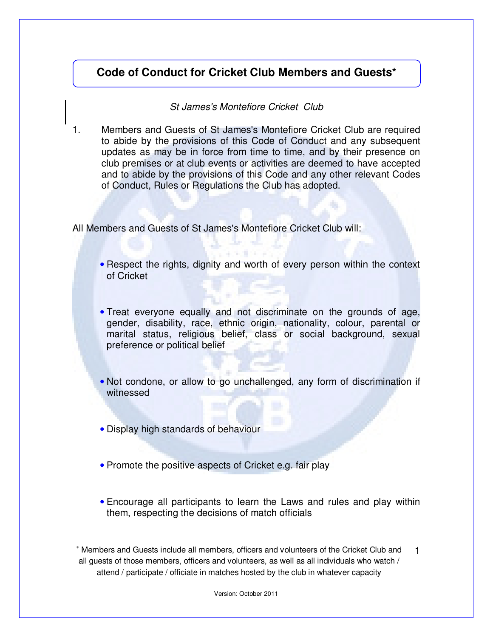## **Code of Conduct for Cricket Club Members and Guests\***

## St James's Montefiore Cricket Club

1. Members and Guests of St James's Montefiore Cricket Club are required to abide by the provisions of this Code of Conduct and any subsequent updates as may be in force from time to time, and by their presence on club premises or at club events or activities are deemed to have accepted and to abide by the provisions of this Code and any other relevant Codes of Conduct, Rules or Regulations the Club has adopted.

All Members and Guests of St James's Montefiore Cricket Club will:

- Respect the rights, dignity and worth of every person within the context of Cricket
- Treat everyone equally and not discriminate on the grounds of age, gender, disability, race, ethnic origin, nationality, colour, parental or marital status, religious belief, class or social background, sexual preference or political belief
- Not condone, or allow to go unchallenged, any form of discrimination if witnessed
- Display high standards of behaviour
- Promote the positive aspects of Cricket e.g. fair play
- Encourage all participants to learn the Laws and rules and play within them, respecting the decisions of match officials

∗ Members and Guests include all members, officers and volunteers of the Cricket Club and all guests of those members, officers and volunteers, as well as all individuals who watch / attend / participate / officiate in matches hosted by the club in whatever capacity 1

Version: October 2011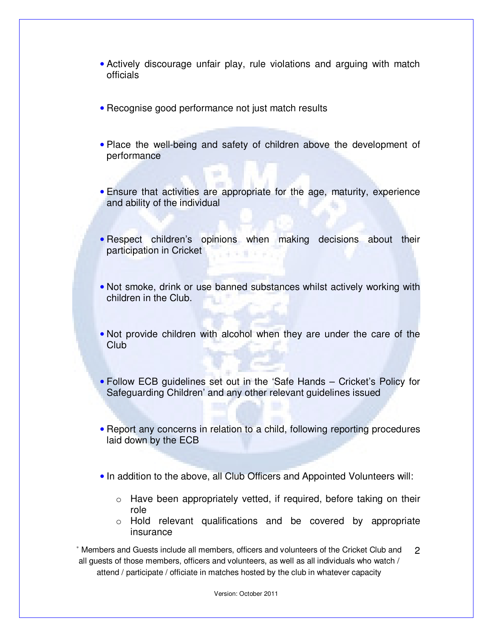- Actively discourage unfair play, rule violations and arguing with match officials
- Recognise good performance not just match results
- Place the well-being and safety of children above the development of performance
- Ensure that activities are appropriate for the age, maturity, experience and ability of the individual
- Respect children's opinions when making decisions about their participation in Cricket
- Not smoke, drink or use banned substances whilst actively working with children in the Club.
- Not provide children with alcohol when they are under the care of the Club
- Follow ECB guidelines set out in the 'Safe Hands Cricket's Policy for Safeguarding Children' and any other relevant guidelines issued
- Report any concerns in relation to a child, following reporting procedures laid down by the ECB
- In addition to the above, all Club Officers and Appointed Volunteers will:
	- $\circ$  Have been appropriately vetted, if required, before taking on their role
	- o Hold relevant qualifications and be covered by appropriate insurance

∗ Members and Guests include all members, officers and volunteers of the Cricket Club and all guests of those members, officers and volunteers, as well as all individuals who watch / attend / participate / officiate in matches hosted by the club in whatever capacity 2